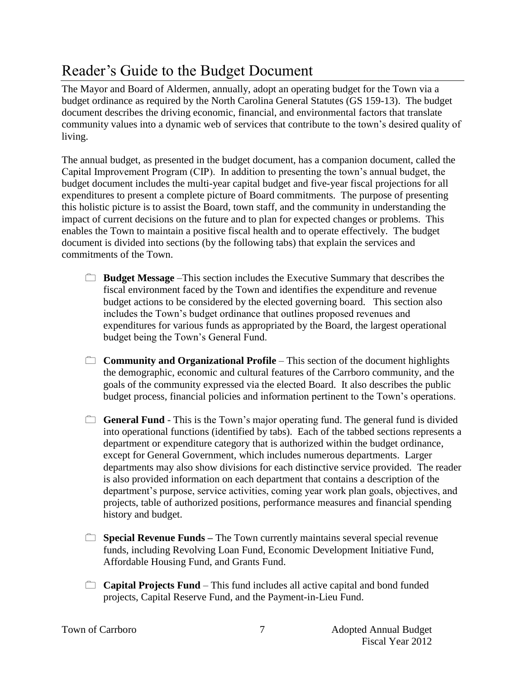## Reader's Guide to the Budget Document

The Mayor and Board of Aldermen, annually, adopt an operating budget for the Town via a budget ordinance as required by the North Carolina General Statutes (GS 159-13). The budget document describes the driving economic, financial, and environmental factors that translate community values into a dynamic web of services that contribute to the town's desired quality of living.

The annual budget, as presented in the budget document, has a companion document, called the Capital Improvement Program (CIP). In addition to presenting the town's annual budget, the budget document includes the multi-year capital budget and five-year fiscal projections for all expenditures to present a complete picture of Board commitments. The purpose of presenting this holistic picture is to assist the Board, town staff, and the community in understanding the impact of current decisions on the future and to plan for expected changes or problems. This enables the Town to maintain a positive fiscal health and to operate effectively. The budget document is divided into sections (by the following tabs) that explain the services and commitments of the Town.

- **Budget Message** –This section includes the Executive Summary that describes the fiscal environment faced by the Town and identifies the expenditure and revenue budget actions to be considered by the elected governing board. This section also includes the Town's budget ordinance that outlines proposed revenues and expenditures for various funds as appropriated by the Board, the largest operational budget being the Town's General Fund.
- **Community and Organizational Profile** This section of the document highlights the demographic, economic and cultural features of the Carrboro community, and the goals of the community expressed via the elected Board. It also describes the public budget process, financial policies and information pertinent to the Town's operations.
- **General Fund** This is the Town's major operating fund. The general fund is divided into operational functions (identified by tabs). Each of the tabbed sections represents a department or expenditure category that is authorized within the budget ordinance, except for General Government, which includes numerous departments. Larger departments may also show divisions for each distinctive service provided. The reader is also provided information on each department that contains a description of the department's purpose, service activities, coming year work plan goals, objectives, and projects, table of authorized positions, performance measures and financial spending history and budget.
- **Special Revenue Funds** The Town currently maintains several special revenue funds, including Revolving Loan Fund, Economic Development Initiative Fund, Affordable Housing Fund, and Grants Fund.
- **Capital Projects Fund** This fund includes all active capital and bond funded projects, Capital Reserve Fund, and the Payment-in-Lieu Fund.